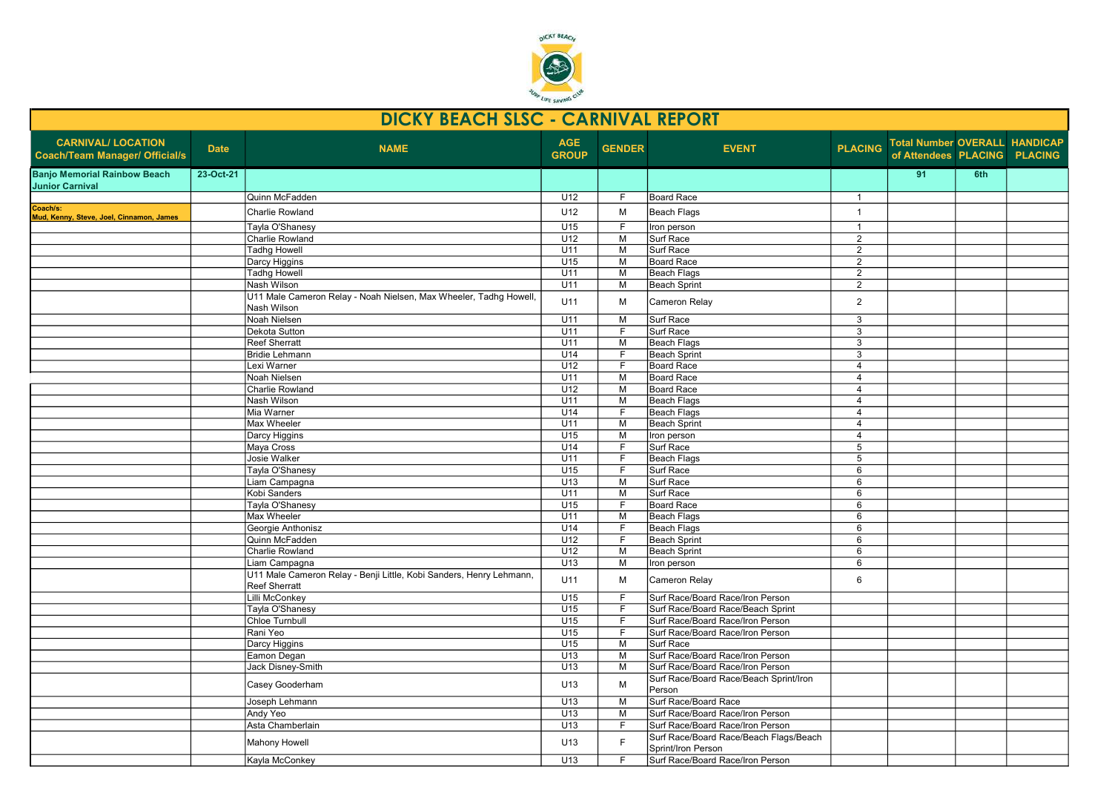

|                                                                    |             | <b>DICKY BEACH SLSC - CARNIVAL REPORT</b>                                                   |                            |                |                                                              |                 |                                                                      |     |  |
|--------------------------------------------------------------------|-------------|---------------------------------------------------------------------------------------------|----------------------------|----------------|--------------------------------------------------------------|-----------------|----------------------------------------------------------------------|-----|--|
| <b>CARNIVAL/ LOCATION</b><br><b>Coach/Team Manager/ Official/s</b> | <b>Date</b> | <b>NAME</b>                                                                                 | <b>AGE</b><br><b>GROUP</b> | <b>GENDER</b>  | <b>EVENT</b>                                                 | <b>PLACING</b>  | <b>Total Number OVERALL HANDICAP</b><br>of Attendees PLACING PLACING |     |  |
| <b>Banjo Memorial Rainbow Beach</b><br><b>Junior Carnival</b>      | 23-Oct-21   |                                                                                             |                            |                |                                                              |                 | 91                                                                   | 6th |  |
|                                                                    |             | Quinn McFadden                                                                              | U12                        | F              | Board Race                                                   | $\overline{1}$  |                                                                      |     |  |
| Coach/s:<br>Mud, Kenny, Steve, Joel, Cinnamon, James               |             | <b>Charlie Rowland</b>                                                                      | U12                        | M              | Beach Flags                                                  | $\mathbf{1}$    |                                                                      |     |  |
|                                                                    |             | Tayla O'Shanesy                                                                             | U <sub>15</sub>            | F              | Iron person                                                  | $\mathbf{1}$    |                                                                      |     |  |
|                                                                    |             | Charlie Rowland                                                                             | U12                        | M              | Surf Race                                                    | $\overline{2}$  |                                                                      |     |  |
|                                                                    |             | <b>Tadhg Howell</b>                                                                         | U11                        | M              | Surf Race                                                    | $\overline{2}$  |                                                                      |     |  |
|                                                                    |             | Darcy Higgins                                                                               | U15                        | M              | Board Race                                                   | $\overline{2}$  |                                                                      |     |  |
|                                                                    |             | Tadhg Howell                                                                                | U11                        | $\overline{M}$ | Beach Flags                                                  | $\overline{2}$  |                                                                      |     |  |
|                                                                    |             | Nash Wilson                                                                                 | U11                        | M              | Beach Sprint                                                 | $\overline{2}$  |                                                                      |     |  |
|                                                                    |             | U11 Male Cameron Relay - Noah Nielsen, Max Wheeler, Tadhg Howell,<br>Nash Wilson            | U11                        | M              | Cameron Relay                                                | $\overline{2}$  |                                                                      |     |  |
|                                                                    |             | Noah Nielsen                                                                                | U11                        | M              | Surf Race                                                    | 3               |                                                                      |     |  |
|                                                                    |             | Dekota Sutton                                                                               | U11                        | F              | Surf Race                                                    | 3               |                                                                      |     |  |
|                                                                    |             | <b>Reef Sherratt</b>                                                                        | U11                        | M              | <b>Beach Flags</b>                                           | $\overline{3}$  |                                                                      |     |  |
|                                                                    |             | <b>Bridie Lehmann</b>                                                                       | U14                        | F              | Beach Sprint                                                 | 3               |                                                                      |     |  |
|                                                                    |             | Lexi Warner                                                                                 | U <sub>12</sub>            | F.             | Board Race                                                   | $\overline{4}$  |                                                                      |     |  |
|                                                                    |             | Noah Nielsen                                                                                | U11                        | M              | Board Race                                                   | $\overline{4}$  |                                                                      |     |  |
|                                                                    |             | Charlie Rowland                                                                             | U12                        | $\overline{M}$ | Board Race                                                   | $\overline{4}$  |                                                                      |     |  |
|                                                                    |             | Nash Wilson                                                                                 | U11                        | M              | Beach Flags                                                  | $\overline{4}$  |                                                                      |     |  |
|                                                                    |             | Mia Warner                                                                                  | U14                        | F              | Beach Flags                                                  | $\overline{4}$  |                                                                      |     |  |
|                                                                    |             | Max Wheeler                                                                                 | U11                        | M              | Beach Sprint                                                 | $\overline{4}$  |                                                                      |     |  |
|                                                                    |             | Darcy Higgins                                                                               | U15                        | M              | Iron person                                                  | $\overline{4}$  |                                                                      |     |  |
|                                                                    |             | Maya Cross                                                                                  | U14                        | F              | Surf Race                                                    | 5               |                                                                      |     |  |
|                                                                    |             | Josie Walker                                                                                | U11                        | F              | <b>Beach Flags</b>                                           | $5\overline{)}$ |                                                                      |     |  |
|                                                                    |             | Tayla O'Shanesy                                                                             | U15                        | $\overline{F}$ | Surf Race                                                    | 6               |                                                                      |     |  |
|                                                                    |             | Liam Campagna                                                                               | U13                        | M              | Surf Race                                                    | 6               |                                                                      |     |  |
|                                                                    |             | Kobi Sanders                                                                                | U11                        | M              | Surf Race                                                    | 6               |                                                                      |     |  |
|                                                                    |             | Tayla O'Shanesy                                                                             | U15                        | F              | Board Race                                                   | 6               |                                                                      |     |  |
|                                                                    |             | Max Wheeler                                                                                 | U11                        | M              | Beach Flags                                                  | 6               |                                                                      |     |  |
|                                                                    |             | Georgie Anthonisz                                                                           | U14                        | F              | Beach Flags                                                  | 6               |                                                                      |     |  |
|                                                                    |             | Quinn McFadden                                                                              | U12                        | $\overline{F}$ | Beach Sprint                                                 | 6               |                                                                      |     |  |
|                                                                    |             | Charlie Rowland                                                                             | U12                        | M              | Beach Sprint                                                 | 6               |                                                                      |     |  |
|                                                                    |             | Liam Campagna                                                                               | U13                        | M              | Iron person                                                  | 6               |                                                                      |     |  |
|                                                                    |             | U11 Male Cameron Relay - Benji Little, Kobi Sanders, Henry Lehmann,<br><b>Reef Sherratt</b> | U11                        | M              | Cameron Relay                                                | 6               |                                                                      |     |  |
|                                                                    |             | Lilli McConkey                                                                              | U15                        | F              | Surf Race/Board Race/Iron Person                             |                 |                                                                      |     |  |
|                                                                    |             | Tayla O'Shanesy                                                                             | U15                        | F              | Surf Race/Board Race/Beach Sprint                            |                 |                                                                      |     |  |
|                                                                    |             | <b>Chloe Turnbull</b>                                                                       | U15                        | F              | Surf Race/Board Race/Iron Person                             |                 |                                                                      |     |  |
|                                                                    |             | Rani Yeo                                                                                    | U15                        | F              | Surf Race/Board Race/Iron Person                             |                 |                                                                      |     |  |
|                                                                    |             | Darcy Higgins                                                                               | U15                        | M              | Surf Race                                                    |                 |                                                                      |     |  |
|                                                                    |             | Eamon Degan                                                                                 | U13                        | M              | Surf Race/Board Race/Iron Person                             |                 |                                                                      |     |  |
|                                                                    |             | Jack Disney-Smith                                                                           | U13                        | M              | Surf Race/Board Race/Iron Person                             |                 |                                                                      |     |  |
|                                                                    |             | Casey Gooderham                                                                             | U13                        | M              | Surf Race/Board Race/Beach Sprint/Iron<br>Person             |                 |                                                                      |     |  |
|                                                                    |             | Joseph Lehmann                                                                              | U13                        | M              | Surf Race/Board Race                                         |                 |                                                                      |     |  |
|                                                                    |             | Andy Yeo                                                                                    | U13                        | M              | Surf Race/Board Race/Iron Person                             |                 |                                                                      |     |  |
|                                                                    |             | Asta Chamberlain                                                                            | U13                        | F              | Surf Race/Board Race/Iron Person                             |                 |                                                                      |     |  |
|                                                                    |             | <b>Mahony Howell</b>                                                                        | U13                        | E              | Surf Race/Board Race/Beach Flags/Beach<br>Sprint/Iron Person |                 |                                                                      |     |  |
|                                                                    |             | Kayla McConkey                                                                              | U <sub>13</sub>            | F.             | Surf Race/Board Race/Iron Person                             |                 |                                                                      |     |  |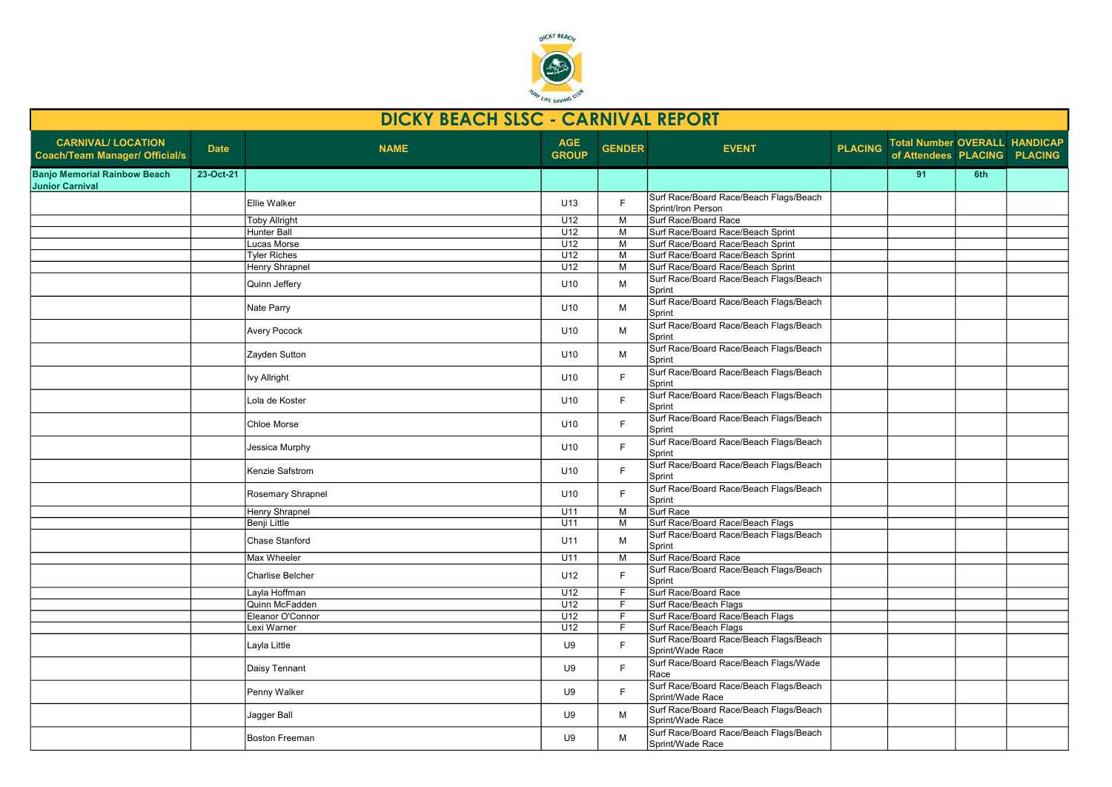

|                                                                    |             | DICKY BEACH SLSC - CARNIVAL REPORT |                            |               |                                                              |                |                                                               |     |  |
|--------------------------------------------------------------------|-------------|------------------------------------|----------------------------|---------------|--------------------------------------------------------------|----------------|---------------------------------------------------------------|-----|--|
| <b>CARNIVAL/ LOCATION</b><br><b>Coach/Team Manager/ Official/s</b> | <b>Date</b> | <b>NAME</b>                        | <b>AGE</b><br><b>GROUP</b> | <b>GENDER</b> | <b>EVENT</b>                                                 | <b>PLACING</b> | Total Number OVERALL HANDICAP<br>of Attendees PLACING PLACING |     |  |
| <b>Banjo Memorial Rainbow Beach</b><br><b>Junior Carnival</b>      | 23-Oct-21   |                                    |                            |               |                                                              |                | 91                                                            | 6th |  |
|                                                                    |             | Ellie Walker                       | U13                        | F             | Surf Race/Board Race/Beach Flags/Beach<br>Sprint/Iron Person |                |                                                               |     |  |
|                                                                    |             | <b>Toby Allright</b>               | U12                        | M             | Surf Race/Board Race                                         |                |                                                               |     |  |
|                                                                    |             | Hunter Ball                        | U12                        | M             | Surf Race/Board Race/Beach Sprint                            |                |                                                               |     |  |
|                                                                    |             | Lucas Morse                        | U12                        | М             | Surf Race/Board Race/Beach Sprint                            |                |                                                               |     |  |
|                                                                    |             | <b>Tyler Riches</b>                | U12                        | м             | Surf Race/Board Race/Beach Sprint                            |                |                                                               |     |  |
|                                                                    |             | <b>Henry Shrapnel</b>              | U12                        | М             | Surf Race/Board Race/Beach Sprint                            |                |                                                               |     |  |
|                                                                    |             | Quinn Jeffery                      | U10                        | М             | Surf Race/Board Race/Beach Flags/Beach<br>Sprint             |                |                                                               |     |  |
|                                                                    |             | Nate Parry                         | U10                        | М             | Surf Race/Board Race/Beach Flags/Beach<br>Sprint             |                |                                                               |     |  |
|                                                                    |             | <b>Avery Pocock</b>                | U <sub>10</sub>            | М             | Surf Race/Board Race/Beach Flags/Beach<br>Sprint             |                |                                                               |     |  |
|                                                                    |             | Zayden Sutton                      | U10                        | М             | Surf Race/Board Race/Beach Flags/Beach<br>Sprint             |                |                                                               |     |  |
|                                                                    |             | lvy Allright                       | U10                        | F.            | Surf Race/Board Race/Beach Flags/Beach<br>Sprint             |                |                                                               |     |  |
|                                                                    |             | Lola de Koster                     | U <sub>10</sub>            | F.            | Surf Race/Board Race/Beach Flags/Beach<br>Sprint             |                |                                                               |     |  |
|                                                                    |             | Chloe Morse                        | U10                        | F.            | Surf Race/Board Race/Beach Flags/Beach<br>Sprint             |                |                                                               |     |  |
|                                                                    |             | Jessica Murphy                     | U <sub>10</sub>            | F.            | Surf Race/Board Race/Beach Flags/Beach<br>Sprint             |                |                                                               |     |  |
|                                                                    |             | Kenzie Safstrom                    | U10                        | F             | Surf Race/Board Race/Beach Flags/Beach<br>Sprint             |                |                                                               |     |  |
|                                                                    |             | Rosemary Shrapnel                  | U <sub>10</sub>            | E             | Surf Race/Board Race/Beach Flags/Beach<br>Sprint             |                |                                                               |     |  |
|                                                                    |             | Henry Shrapnel                     | U11                        | M             | Surf Race                                                    |                |                                                               |     |  |
|                                                                    |             | <b>Benji Little</b>                | U11                        | М             | Surf Race/Board Race/Beach Flags                             |                |                                                               |     |  |
|                                                                    |             | Chase Stanford                     | U11                        | М             | Surf Race/Board Race/Beach Flags/Beach<br>Sprint             |                |                                                               |     |  |
|                                                                    |             | Max Wheeler                        | U11                        | М             | Surf Race/Board Race                                         |                |                                                               |     |  |
|                                                                    |             | Charlise Belcher                   | U12                        | F.            | Surf Race/Board Race/Beach Flags/Beach<br>Sprint             |                |                                                               |     |  |
|                                                                    |             | Layla Hoffman                      | U12                        | F.            | Surf Race/Board Race                                         |                |                                                               |     |  |
|                                                                    |             | Quinn McFadden                     | U12                        | F.            | Surf Race/Beach Flags                                        |                |                                                               |     |  |
|                                                                    |             | Eleanor O'Connor                   | U12                        | F.            | Surf Race/Board Race/Beach Flags                             |                |                                                               |     |  |
|                                                                    |             | Lexi Warner                        | U12                        | F.            | Surf Race/Beach Flags                                        |                |                                                               |     |  |
|                                                                    |             | Layla Little                       | U9                         | F             | Surf Race/Board Race/Beach Flags/Beach<br>Sprint/Wade Race   |                |                                                               |     |  |
|                                                                    |             | Daisy Tennant                      | U9                         | F.            | Surf Race/Board Race/Beach Flags/Wade<br>Race                |                |                                                               |     |  |
|                                                                    |             | Penny Walker                       | U9                         | F             | Surf Race/Board Race/Beach Flags/Beach<br>Sprint/Wade Race   |                |                                                               |     |  |
|                                                                    |             | Jagger Ball                        | U9                         | М             | Surf Race/Board Race/Beach Flags/Beach<br>Sprint/Wade Race   |                |                                                               |     |  |
|                                                                    |             | <b>Boston Freeman</b>              | U9                         | М             | Surf Race/Board Race/Beach Flags/Beach<br>Sprint/Wade Race   |                |                                                               |     |  |
|                                                                    |             |                                    |                            |               |                                                              |                |                                                               |     |  |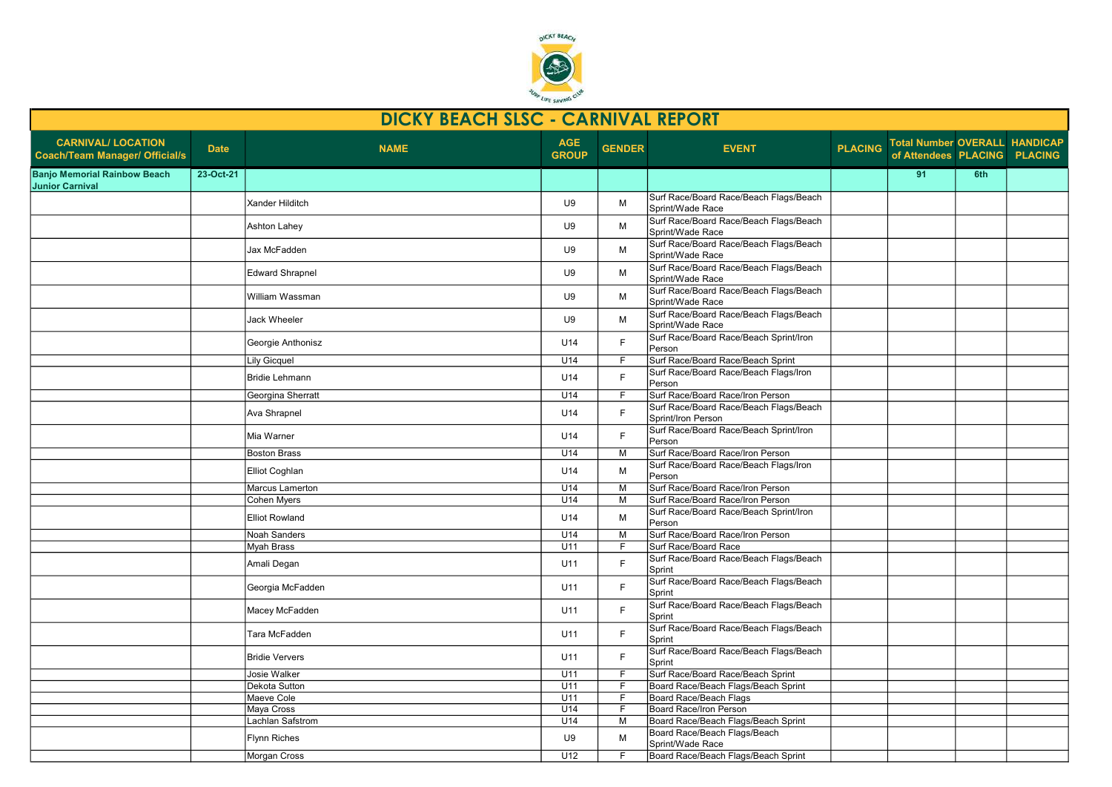

| <b>DICKY BEACH SLSC - CARNIVAL REPORT</b>                          |             |                        |                            |                |                                                              |                |                                                                      |     |  |
|--------------------------------------------------------------------|-------------|------------------------|----------------------------|----------------|--------------------------------------------------------------|----------------|----------------------------------------------------------------------|-----|--|
| <b>CARNIVAL/ LOCATION</b><br><b>Coach/Team Manager/ Official/s</b> | <b>Date</b> | <b>NAME</b>            | <b>AGE</b><br><b>GROUP</b> | <b>GENDER</b>  | <b>EVENT</b>                                                 | <b>PLACING</b> | <b>Total Number OVERALL HANDICAP</b><br>of Attendees PLACING PLACING |     |  |
| <b>Banjo Memorial Rainbow Beach</b><br><b>Junior Carnival</b>      | 23-Oct-21   |                        |                            |                |                                                              |                | 91                                                                   | 6th |  |
|                                                                    |             | <b>Xander Hilditch</b> | U9                         | М              | Surf Race/Board Race/Beach Flags/Beach<br>Sprint/Wade Race   |                |                                                                      |     |  |
|                                                                    |             | Ashton Lahey           | U9                         | M              | Surf Race/Board Race/Beach Flags/Beach<br>Sprint/Wade Race   |                |                                                                      |     |  |
|                                                                    |             | Jax McFadden           | U9                         | М              | Surf Race/Board Race/Beach Flags/Beach<br>Sprint/Wade Race   |                |                                                                      |     |  |
|                                                                    |             | <b>Edward Shrapnel</b> | U9                         | М              | Surf Race/Board Race/Beach Flags/Beach<br>Sprint/Wade Race   |                |                                                                      |     |  |
|                                                                    |             | William Wassman        | U9                         | М              | Surf Race/Board Race/Beach Flags/Beach<br>Sprint/Wade Race   |                |                                                                      |     |  |
|                                                                    |             | Jack Wheeler           | U9                         | М              | Surf Race/Board Race/Beach Flags/Beach<br>Sprint/Wade Race   |                |                                                                      |     |  |
|                                                                    |             | Georgie Anthonisz      | U14                        | F.             | Surf Race/Board Race/Beach Sprint/Iron<br>Person             |                |                                                                      |     |  |
|                                                                    |             | <b>Lily Gicquel</b>    | U14                        | F.             | Surf Race/Board Race/Beach Sprint                            |                |                                                                      |     |  |
|                                                                    |             | <b>Bridie Lehmann</b>  | U14                        | F              | Surf Race/Board Race/Beach Flags/Iron<br>Person              |                |                                                                      |     |  |
|                                                                    |             | Georgina Sherratt      | U14                        | F              | Surf Race/Board Race/Iron Person                             |                |                                                                      |     |  |
|                                                                    |             | Ava Shrapnel           | U14                        | F              | Surf Race/Board Race/Beach Flags/Beach<br>Sprint/Iron Person |                |                                                                      |     |  |
|                                                                    |             | Mia Warner             | U14                        | F.             | Surf Race/Board Race/Beach Sprint/Iron<br>Person             |                |                                                                      |     |  |
|                                                                    |             | <b>Boston Brass</b>    | U14                        | М              | Surf Race/Board Race/Iron Person                             |                |                                                                      |     |  |
|                                                                    |             | Elliot Coghlan         | U14                        | M              | Surf Race/Board Race/Beach Flags/Iron<br>Person              |                |                                                                      |     |  |
|                                                                    |             | Marcus Lamerton        | U14                        | М              | Surf Race/Board Race/Iron Person                             |                |                                                                      |     |  |
|                                                                    |             | Cohen Myers            | U14                        | М              | Surf Race/Board Race/Iron Person                             |                |                                                                      |     |  |
|                                                                    |             | <b>Elliot Rowland</b>  | U14                        | М              | Surf Race/Board Race/Beach Sprint/Iron<br>Person             |                |                                                                      |     |  |
|                                                                    |             | Noah Sanders           | U14                        | M              | Surf Race/Board Race/Iron Person                             |                |                                                                      |     |  |
|                                                                    |             | Myah Brass             | U11                        | F              | Surf Race/Board Race                                         |                |                                                                      |     |  |
|                                                                    |             | Amali Degan            | U11                        | E              | Surf Race/Board Race/Beach Flags/Beach<br>Sprint             |                |                                                                      |     |  |
|                                                                    |             | Georgia McFadden       | U11                        | F.             | Surf Race/Board Race/Beach Flags/Beach<br>Sprint             |                |                                                                      |     |  |
|                                                                    |             | Macey McFadden         | U11                        | F.             | Surf Race/Board Race/Beach Flags/Beach<br>Sprint             |                |                                                                      |     |  |
|                                                                    |             | Tara McFadden          | U11                        | F.             | Surf Race/Board Race/Beach Flags/Beach<br>Sprint             |                |                                                                      |     |  |
|                                                                    |             | <b>Bridie Ververs</b>  | U11                        | E              | Surf Race/Board Race/Beach Flags/Beach<br>Sprint             |                |                                                                      |     |  |
|                                                                    |             | Josie Walker           | U11                        | F              | Surf Race/Board Race/Beach Sprint                            |                |                                                                      |     |  |
|                                                                    |             | Dekota Sutton          | U11                        | $\overline{F}$ | Board Race/Beach Flags/Beach Sprint                          |                |                                                                      |     |  |
|                                                                    |             | Maeve Cole             | U11                        | F.             | <b>Board Race/Beach Flags</b>                                |                |                                                                      |     |  |
|                                                                    |             | Maya Cross             | U14                        | F              | Board Race/Iron Person                                       |                |                                                                      |     |  |
|                                                                    |             | Lachlan Safstrom       | U14                        | M              | Board Race/Beach Flags/Beach Sprint                          |                |                                                                      |     |  |
|                                                                    |             | Flynn Riches           | U9                         | M              | Board Race/Beach Flags/Beach<br>Sprint/Wade Race             |                |                                                                      |     |  |
|                                                                    |             | Morgan Cross           | U12                        | F.             | Board Race/Beach Flags/Beach Sprint                          |                |                                                                      |     |  |